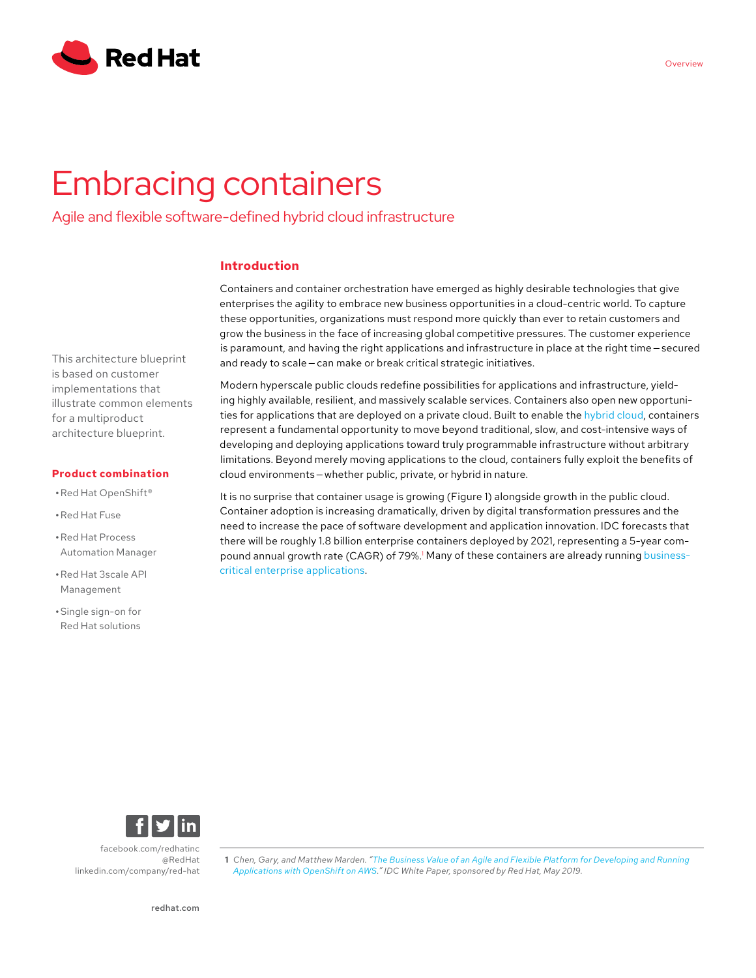

# Embracing containers

Agile and flexible software-defined hybrid cloud infrastructure

# **Introduction**

Containers and container orchestration have emerged as highly desirable technologies that give enterprises the agility to embrace new business opportunities in a cloud-centric world. To capture these opportunities, organizations must respond more quickly than ever to retain customers and grow the business in the face of increasing global competitive pressures. The customer experience is paramount, and having the right applications and infrastructure in place at the right time – secured and ready to scale - can make or break critical strategic initiatives.

Modern hyperscale public clouds redefine possibilities for applications and infrastructure, yielding highly available, resilient, and massively scalable services. Containers also open new opportunities for applications that are deployed on a private cloud. Built to enable the [hybrid cloud](https://www.redhat.com/en/topics/cloud-computing/what-is-hybrid-cloud), containers represent a fundamental opportunity to move beyond traditional, slow, and cost-intensive ways of developing and deploying applications toward truly programmable infrastructure without arbitrary limitations. Beyond merely moving applications to the cloud, containers fully exploit the benefits of cloud environments — whether public, private, or hybrid in nature.

It is no surprise that container usage is growing (Figure 1) alongside growth in the public cloud. Container adoption is increasing dramatically, driven by digital transformation pressures and the need to increase the pace of software development and application innovation. IDC forecasts that there will be roughly 1.8 billion enterprise containers deployed by 2021, representing a 5-year compound annual growth rate (CAGR) of 79%.<sup>1</sup> Many of these containers are already running [business](https://www.redhat.com/en/about/press-releases/more-1000-enterprises-across-globe-adopt-red-hat-openshift-container-platform-power-business-applications?extIdCarryOver=true&sc_cid=701f2000001OH74AAG)[critical enterprise applications.](https://www.redhat.com/en/about/press-releases/more-1000-enterprises-across-globe-adopt-red-hat-openshift-container-platform-power-business-applications?extIdCarryOver=true&sc_cid=701f2000001OH74AAG)

[facebook.com/redhatinc](http://facebook.com/redhatinc

) [@RedHat](https://twitter.com/redhat) [linkedin.com/company/red-hat](http://linkedin.com/company/red-hat
)

**1** *Chen, Gary, and Matthew Marden. "[The Business Value of an Agile and Flexible Platform for Developing and Running](https://www.redhat.com/en/resources/idc-openshift-and-aws-business-value-analyst-paper)  [Applications with OpenShift on AWS.](https://www.redhat.com/en/resources/idc-openshift-and-aws-business-value-analyst-paper)" IDC White Paper, sponsored by Red Hat, May 2019.*

This architecture blueprint is based on customer implementations that illustrate common elements for a multiproduct architecture blueprint.

#### **Product combination**

- **•**Red Hat OpenShift®
- **•**Red Hat Fuse
- **•**Red Hat Process Automation Manager
- **•**Red Hat 3scale API Management
- **•**Single sign-on for Red Hat solutions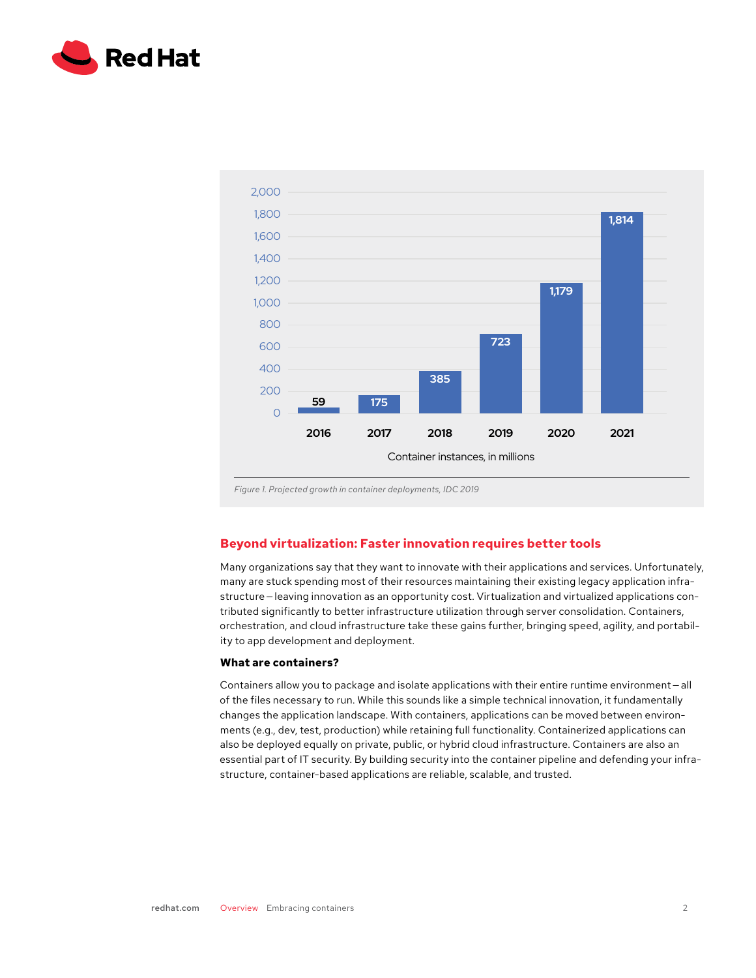



# **Beyond virtualization: Faster innovation requires better tools**

Many organizations say that they want to innovate with their applications and services. Unfortunately, many are stuck spending most of their resources maintaining their existing legacy application infrastructure — leaving innovation as an opportunity cost. Virtualization and virtualized applications contributed significantly to better infrastructure utilization through server consolidation. Containers, orchestration, and cloud infrastructure take these gains further, bringing speed, agility, and portability to app development and deployment.

#### **What are containers?**

Containers allow you to package and isolate applications with their entire runtime environment - all of the files necessary to run. While this sounds like a simple technical innovation, it fundamentally changes the application landscape. With containers, applications can be moved between environments (e.g., dev, test, production) while retaining full functionality. Containerized applications can also be deployed equally on private, public, or hybrid cloud infrastructure. Containers are also an essential part of IT security. By building security into the container pipeline and defending your infrastructure, container-based applications are reliable, scalable, and trusted.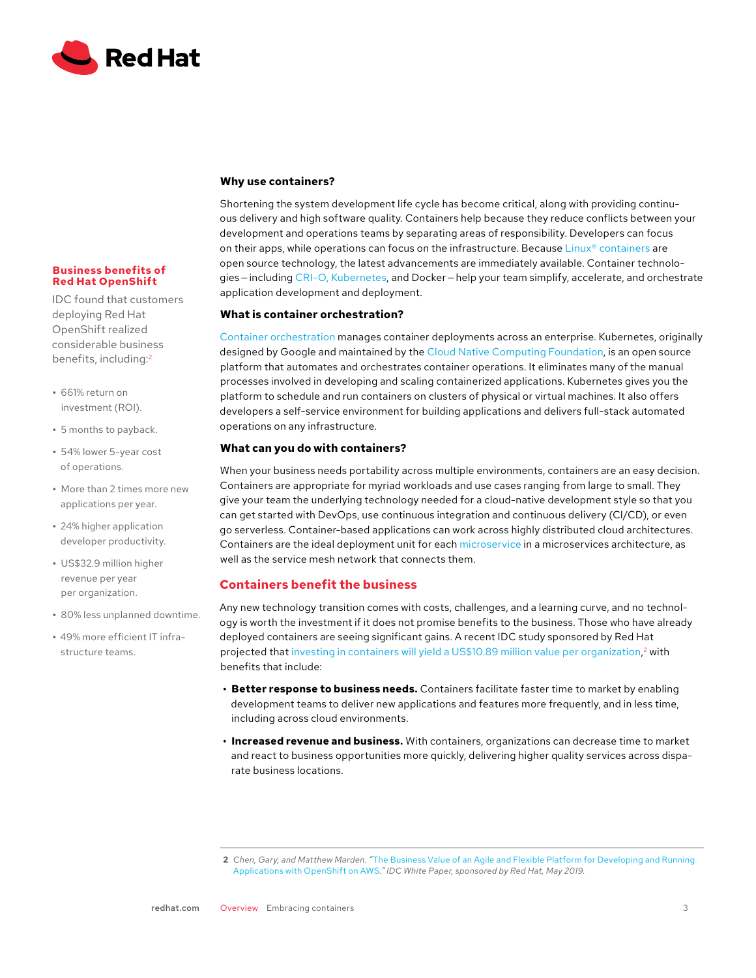

#### **Business benefits of Red Hat OpenShift**

IDC found that customers deploying Red Hat OpenShift realized considerable business benefits, including:2

- **•** 661% return on investment (ROI).
- **•** 5 months to payback.
- **•** 54% lower 5-year cost of operations.
- **•** More than 2 times more new applications per year.
- **•** 24% higher application developer productivity.
- **•** US\$32.9 million higher revenue per year per organization.
- **•** 80% less unplanned downtime.
- **•** 49% more efficient IT infrastructure teams.

## **Why use containers?**

Shortening the system development life cycle has become critical, along with providing continuous delivery and high software quality. Containers help because they reduce conflicts between your development and operations teams by separating areas of responsibility. Developers can focus on their apps, while operations can focus on the infrastructure. Because [Linux® containers](https://www.redhat.com/en/topics/containers) are open source technology, the latest advancements are immediately available. Container technologies — including [CRI-O, Kubernetes](https://cri-o.io), and Docker — help your team simplify, accelerate, and orchestrate application development and deployment.

## **What is container orchestration?**

[Container orchestration](https://www.redhat.com/en/topics/containers/what-is-container-orchestration) manages container deployments across an enterprise. Kubernetes, originally designed by Google and maintained by the [Cloud Native Computing Foundation,](https://www.cncf.io/) is an open source platform that automates and orchestrates container operations. It eliminates many of the manual processes involved in developing and scaling containerized applications. Kubernetes gives you the platform to schedule and run containers on clusters of physical or virtual machines. It also offers developers a self-service environment for building applications and delivers full-stack automated operations on any infrastructure.

## **What can you do with containers?**

When your business needs portability across multiple environments, containers are an easy decision. Containers are appropriate for myriad workloads and use cases ranging from large to small. They give your team the underlying technology needed for a cloud-native development style so that you can get started with DevOps, use continuous integration and continuous delivery (CI/CD), or even go serverless. Container-based applications can work across highly distributed cloud architectures. Containers are the ideal deployment unit for each [microservice](https://www.redhat.com/en/topics/microservices/why-choose-red-hat-microservices) in a microservices architecture, as well as the service mesh network that connects them.

# **Containers benefit the business**

Any new technology transition comes with costs, challenges, and a learning curve, and no technology is worth the investment if it does not promise benefits to the business. Those who have already deployed containers are seeing significant gains. A recent IDC study sponsored by Red Hat  $\bm{{\mathsf{projected}}}$  that [investing in containers will yield a US\\$10.89 million value per organization](https://www.redhat.com/en/resources/idc-openshift-and-aws-business-value-analyst-paper), $^2$  with benefits that include:

- **• Better response to business needs.** Containers facilitate faster time to market by enabling development teams to deliver new applications and features more frequently, and in less time, including across cloud environments.
- **• Increased revenue and business.** With containers, organizations can decrease time to market and react to business opportunities more quickly, delivering higher quality services across disparate business locations.

**<sup>2</sup>** *Chen, Gary, and Matthew Marden. "*[The Business Value of an Agile and Flexible Platform for Developing and Running](https://www.redhat.com/en/resources/idc-openshift-and-aws-business-value-analyst-paper)  [Applications with OpenShift on AWS](https://www.redhat.com/en/resources/idc-openshift-and-aws-business-value-analyst-paper)*." IDC White Paper, sponsored by Red Hat, May 2019.*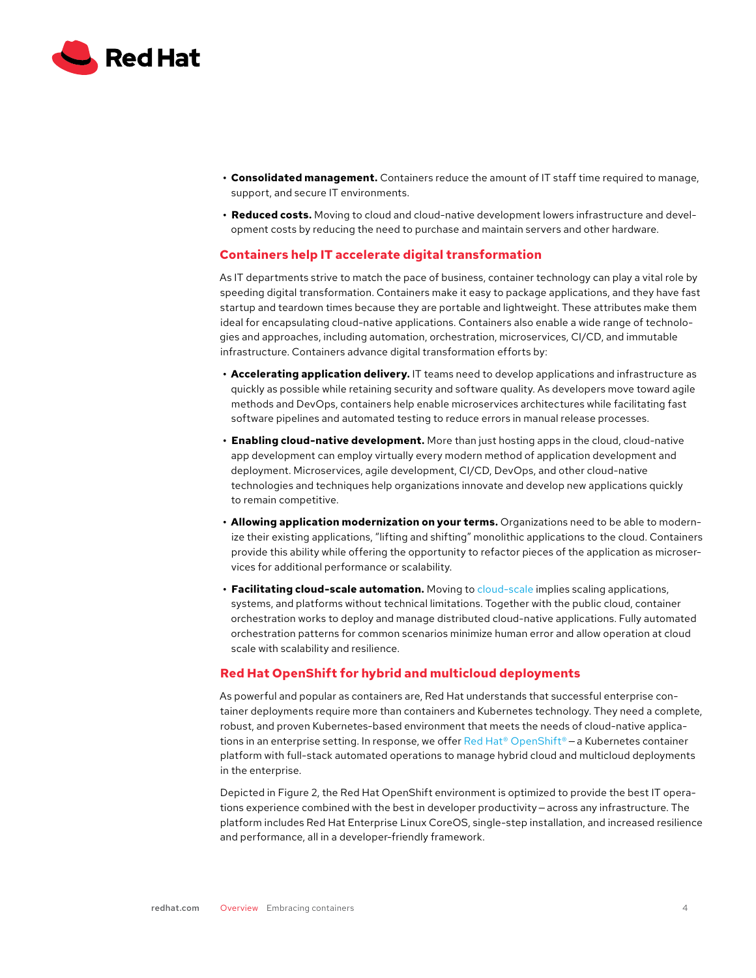

- **• Consolidated management.** Containers reduce the amount of IT staff time required to manage, support, and secure IT environments.
- **• Reduced costs.** Moving to cloud and cloud-native development lowers infrastructure and development costs by reducing the need to purchase and maintain servers and other hardware.

## **Containers help IT accelerate digital transformation**

As IT departments strive to match the pace of business, container technology can play a vital role by speeding digital transformation. Containers make it easy to package applications, and they have fast startup and teardown times because they are portable and lightweight. These attributes make them ideal for encapsulating cloud-native applications. Containers also enable a wide range of technologies and approaches, including automation, orchestration, microservices, CI/CD, and immutable infrastructure. Containers advance digital transformation efforts by:

- **• Accelerating application delivery.** IT teams need to develop applications and infrastructure as quickly as possible while retaining security and software quality. As developers move toward agile methods and DevOps, containers help enable microservices architectures while facilitating fast software pipelines and automated testing to reduce errors in manual release processes.
- **• Enabling cloud-native development.** More than just hosting apps in the cloud, cloud-native app development can employ virtually every modern method of application development and deployment. Microservices, agile development, CI/CD, DevOps, and other cloud-native technologies and techniques help organizations innovate and develop new applications quickly to remain competitive.
- **• Allowing application modernization on your terms.** Organizations need to be able to modernize their existing applications, "lifting and shifting" monolithic applications to the cloud. Containers provide this ability while offering the opportunity to refactor pieces of the application as microservices for additional performance or scalability.
- **• Facilitating cloud-scale automation.** Moving to [cloud-scale](https://simplicable.com/new/cloud-scale) implies scaling applications, systems, and platforms without technical limitations. Together with the public cloud, container orchestration works to deploy and manage distributed cloud-native applications. Fully automated orchestration patterns for common scenarios minimize human error and allow operation at cloud scale with scalability and resilience.

#### **Red Hat OpenShift for hybrid and multicloud deployments**

As powerful and popular as containers are, Red Hat understands that successful enterprise container deployments require more than containers and Kubernetes technology. They need a complete, robust, and proven Kubernetes-based environment that meets the needs of cloud-native applica-tions in an enterprise setting. In response, we offer [Red Hat® OpenShift®](https://www.redhat.com/en/technologies/cloud-computing/openshift) – a Kubernetes container platform with full-stack automated operations to manage hybrid cloud and multicloud deployments in the enterprise.

Depicted in Figure 2, the Red Hat OpenShift environment is optimized to provide the best IT operations experience combined with the best in developer productivity — across any infrastructure. The platform includes Red Hat Enterprise Linux CoreOS, single-step installation, and increased resilience and performance, all in a developer-friendly framework.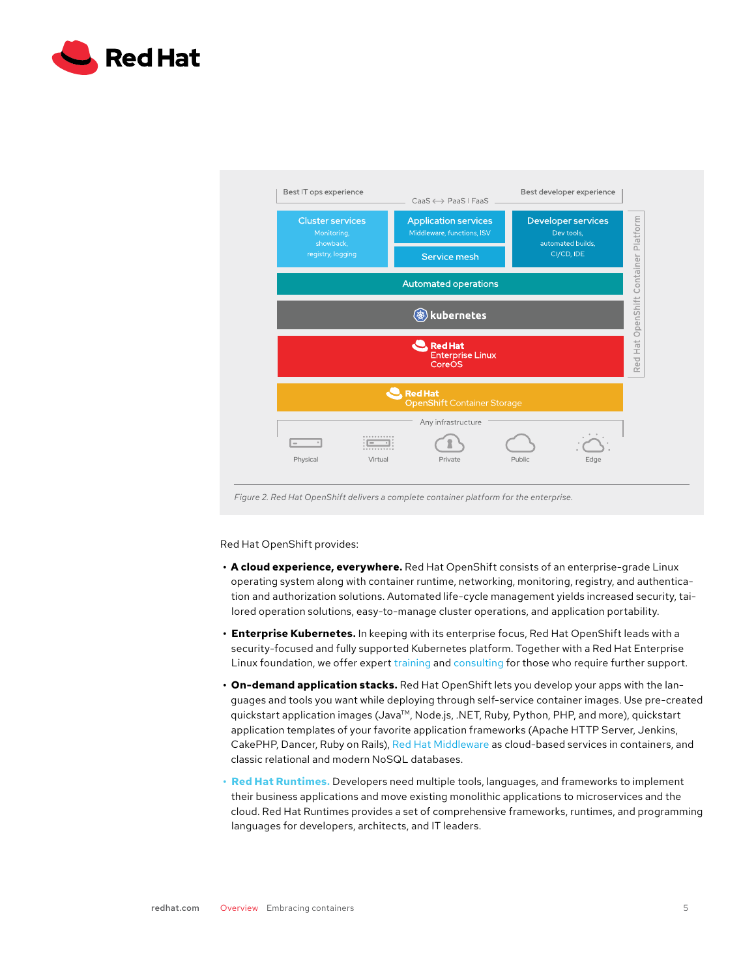



Red Hat OpenShift provides:

- **• A cloud experience, everywhere.** Red Hat OpenShift consists of an enterprise-grade Linux operating system along with container runtime, networking, monitoring, registry, and authentication and authorization solutions. Automated life-cycle management yields increased security, tailored operation solutions, easy-to-manage cluster operations, and application portability.
- **• Enterprise Kubernetes.** In keeping with its enterprise focus, Red Hat OpenShift leads with a security-focused and fully supported Kubernetes platform. Together with a Red Hat Enterprise Linux foundation, we offer expert [training](https://www.redhat.com/en/services/training-and-certification) and [consulting](https://www.redhat.com/en/services/consulting) for those who require further support.
- **• On-demand application stacks.** Red Hat OpenShift lets you develop your apps with the languages and tools you want while deploying through self-service container images. Use pre-created quickstart application images (Java<sup>TM</sup>, Node.js, .NET, Ruby, Python, PHP, and more), quickstart application templates of your favorite application frameworks (Apache HTTP Server, Jenkins, CakePHP, Dancer, Ruby on Rails), [Red Hat Middleware](https://www.redhat.com/en/products/middleware) as cloud-based services in containers, and classic relational and modern NoSQL databases.
- **• [Red Hat Runtimes.](https://www.redhat.com/en/products/runtimes)** Developers need multiple tools, languages, and frameworks to implement their business applications and move existing monolithic applications to microservices and the cloud. Red Hat Runtimes provides a set of comprehensive frameworks, runtimes, and programming languages for developers, architects, and IT leaders.